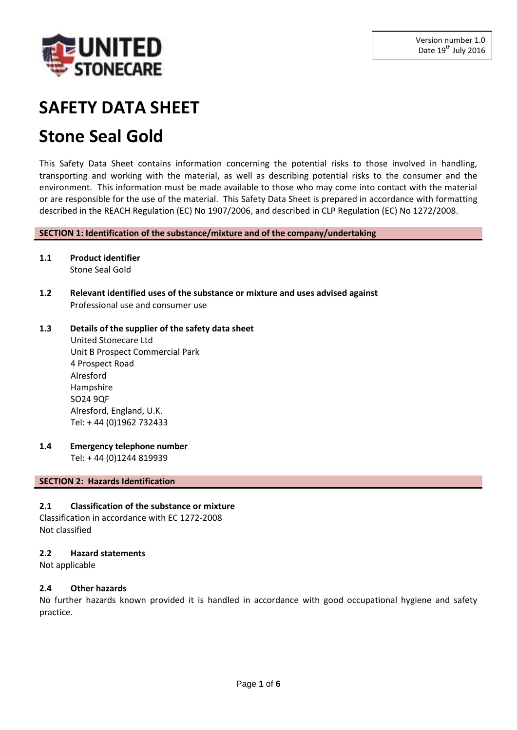

# **SAFETY DATA SHEET**

# **Stone Seal Gold**

This Safety Data Sheet contains information concerning the potential risks to those involved in handling, transporting and working with the material, as well as describing potential risks to the consumer and the environment. This information must be made available to those who may come into contact with the material or are responsible for the use of the material. This Safety Data Sheet is prepared in accordance with formatting described in the REACH Regulation (EC) No 1907/2006, and described in CLP Regulation (EC) No 1272/2008.

**SECTION 1: Identification of the substance/mixture and of the company/undertaking**

- **1.1 Product identifier** Stone Seal Gold
- **1.2 Relevant identified uses of the substance or mixture and uses advised against** Professional use and consumer use
- **1.3 Details of the supplier of the safety data sheet** United Stonecare Ltd Unit B Prospect Commercial Park 4 Prospect Road Alresford Hampshire SO24 9QF
	- Alresford, England, U.K. Tel: + 44 (0)1962 732433
- **1.4 Emergency telephone number**

Tel: + 44 (0)1244 819939

# **SECTION 2: Hazards Identification**

# **2.1 Classification of the substance or mixture**

Classification in accordance with EC 1272-2008 Not classified

# **2.2 Hazard statements**

Not applicable

# **2.4 Other hazards**

No further hazards known provided it is handled in accordance with good occupational hygiene and safety practice.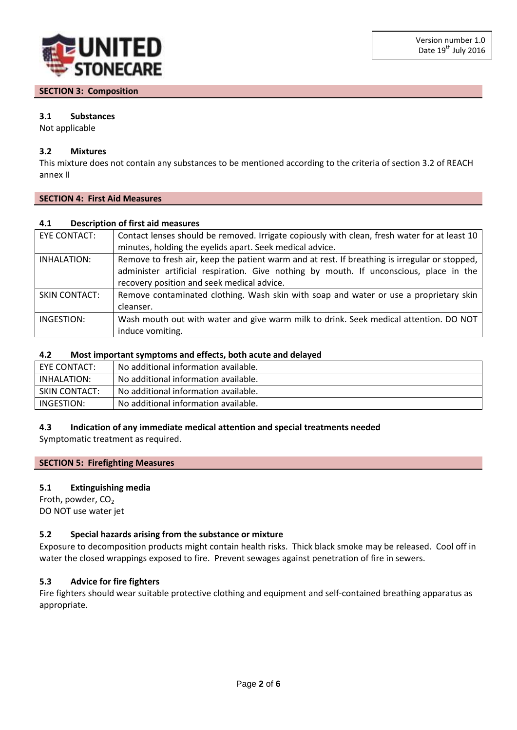

# **SECTION 3: Composition**

# **3.1 Substances**

Not applicable

# **3.2 Mixtures**

This mixture does not contain any substances to be mentioned according to the criteria of section 3.2 of REACH annex II

# **SECTION 4: First Aid Measures**

# **4.1 Description of first aid measures**

| EYE CONTACT:         | Contact lenses should be removed. Irrigate copiously with clean, fresh water for at least 10  |
|----------------------|-----------------------------------------------------------------------------------------------|
|                      | minutes, holding the eyelids apart. Seek medical advice.                                      |
| INHALATION:          | Remove to fresh air, keep the patient warm and at rest. If breathing is irregular or stopped, |
|                      | administer artificial respiration. Give nothing by mouth. If unconscious, place in the        |
|                      | recovery position and seek medical advice.                                                    |
| <b>SKIN CONTACT:</b> | Remove contaminated clothing. Wash skin with soap and water or use a proprietary skin         |
|                      | cleanser.                                                                                     |
| INGESTION:           | Wash mouth out with water and give warm milk to drink. Seek medical attention. DO NOT         |
|                      | induce vomiting.                                                                              |

# **4.2 Most important symptoms and effects, both acute and delayed**

| EYE CONTACT:         | No additional information available. |
|----------------------|--------------------------------------|
| INHALATION:          | No additional information available. |
| <b>SKIN CONTACT:</b> | No additional information available. |
| INGESTION:           | No additional information available. |

# **4.3 Indication of any immediate medical attention and special treatments needed**

Symptomatic treatment as required.

# **SECTION 5: Firefighting Measures**

# **5.1 Extinguishing media**

Froth, powder,  $CO<sub>2</sub>$ DO NOT use water jet

# **5.2 Special hazards arising from the substance or mixture**

Exposure to decomposition products might contain health risks. Thick black smoke may be released. Cool off in water the closed wrappings exposed to fire. Prevent sewages against penetration of fire in sewers.

# **5.3 Advice for fire fighters**

Fire fighters should wear suitable protective clothing and equipment and self-contained breathing apparatus as appropriate.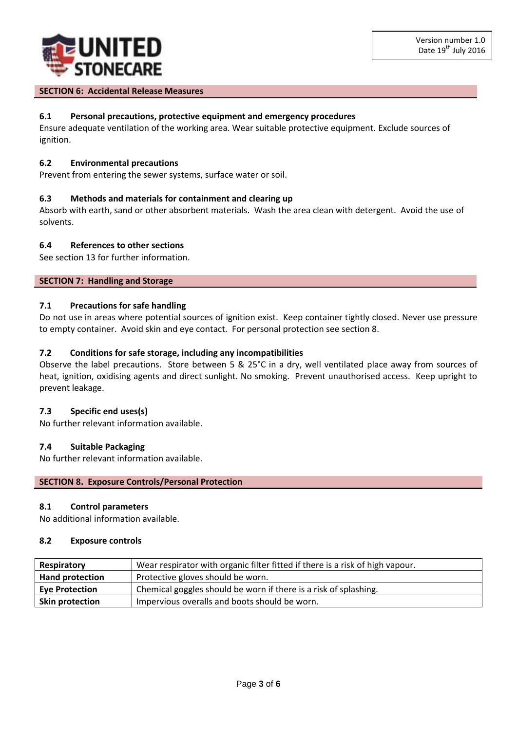

#### **SECTION 6: Accidental Release Measures**

# **6.1 Personal precautions, protective equipment and emergency procedures**

Ensure adequate ventilation of the working area. Wear suitable protective equipment. Exclude sources of ignition.

#### **6.2 Environmental precautions**

Prevent from entering the sewer systems, surface water or soil.

# **6.3 Methods and materials for containment and clearing up**

Absorb with earth, sand or other absorbent materials. Wash the area clean with detergent. Avoid the use of solvents.

# **6.4 References to other sections**

See section 13 for further information.

# **SECTION 7: Handling and Storage**

# **7.1 Precautions for safe handling**

Do not use in areas where potential sources of ignition exist. Keep container tightly closed. Never use pressure to empty container. Avoid skin and eye contact. For personal protection see section 8.

# **7.2 Conditions for safe storage, including any incompatibilities**

Observe the label precautions. Store between 5 & 25°C in a dry, well ventilated place away from sources of heat, ignition, oxidising agents and direct sunlight. No smoking. Prevent unauthorised access. Keep upright to prevent leakage.

#### **7.3 Specific end uses(s)**

No further relevant information available.

#### **7.4 Suitable Packaging**

No further relevant information available.

#### **SECTION 8. Exposure Controls/Personal Protection**

# **8.1 Control parameters**

No additional information available.

#### **8.2 Exposure controls**

| Respiratory            | Wear respirator with organic filter fitted if there is a risk of high vapour. |  |
|------------------------|-------------------------------------------------------------------------------|--|
| <b>Hand protection</b> | Protective gloves should be worn.                                             |  |
| <b>Eye Protection</b>  | Chemical goggles should be worn if there is a risk of splashing.              |  |
| <b>Skin protection</b> | Impervious overalls and boots should be worn.                                 |  |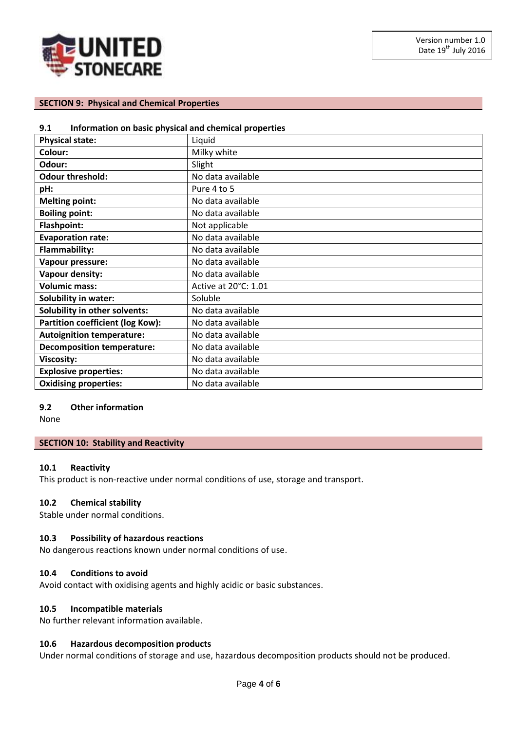

# **SECTION 9: Physical and Chemical Properties**

#### **9.1 Information on basic physical and chemical properties**

| <b>Physical state:</b>                  | Liquid               |
|-----------------------------------------|----------------------|
| Colour:                                 | Milky white          |
| Odour:                                  | Slight               |
| <b>Odour threshold:</b>                 | No data available    |
| pH:                                     | Pure 4 to 5          |
| <b>Melting point:</b>                   | No data available    |
| <b>Boiling point:</b>                   | No data available    |
| <b>Flashpoint:</b>                      | Not applicable       |
| <b>Evaporation rate:</b>                | No data available    |
| <b>Flammability:</b>                    | No data available    |
| Vapour pressure:                        | No data available    |
| Vapour density:                         | No data available    |
| <b>Volumic mass:</b>                    | Active at 20°C: 1.01 |
| <b>Solubility in water:</b>             | Soluble              |
| Solubility in other solvents:           | No data available    |
| <b>Partition coefficient (log Kow):</b> | No data available    |
| <b>Autoignition temperature:</b>        | No data available    |
| <b>Decomposition temperature:</b>       | No data available    |
| Viscosity:                              | No data available    |
| <b>Explosive properties:</b>            | No data available    |
| <b>Oxidising properties:</b>            | No data available    |

#### **9.2 Other information**

None

#### **SECTION 10: Stability and Reactivity**

#### **10.1 Reactivity**

This product is non-reactive under normal conditions of use, storage and transport.

# **10.2 Chemical stability**

Stable under normal conditions.

# **10.3 Possibility of hazardous reactions**

No dangerous reactions known under normal conditions of use.

# **10.4 Conditions to avoid**

Avoid contact with oxidising agents and highly acidic or basic substances.

# **10.5 Incompatible materials**

No further relevant information available.

# **10.6 Hazardous decomposition products**

Under normal conditions of storage and use, hazardous decomposition products should not be produced.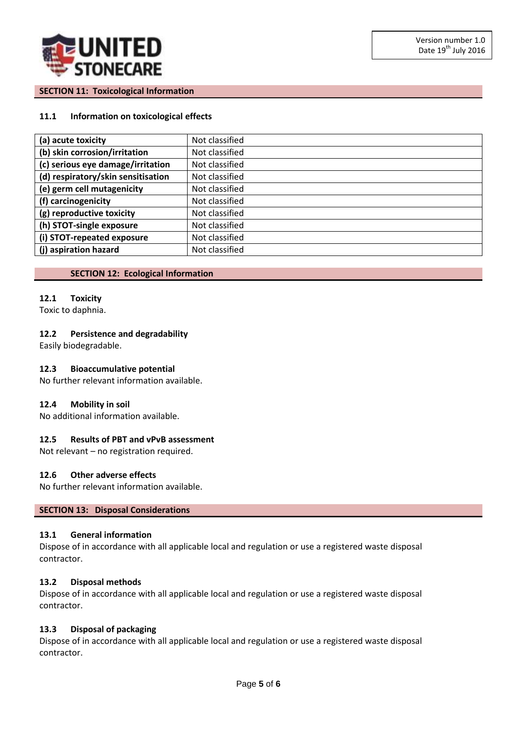

# **SECTION 11: Toxicological Information**

# **11.1 Information on toxicological effects**

| (a) acute toxicity                 | Not classified |
|------------------------------------|----------------|
| (b) skin corrosion/irritation      | Not classified |
| (c) serious eye damage/irritation  | Not classified |
| (d) respiratory/skin sensitisation | Not classified |
| (e) germ cell mutagenicity         | Not classified |
| (f) carcinogenicity                | Not classified |
| (g) reproductive toxicity          | Not classified |
| (h) STOT-single exposure           | Not classified |
| (i) STOT-repeated exposure         | Not classified |
| (i) aspiration hazard              | Not classified |

#### **SECTION 12: Ecological Information**

#### **12.1 Toxicity**

Toxic to daphnia.

# **12.2 Persistence and degradability**

Easily biodegradable.

# **12.3 Bioaccumulative potential**

No further relevant information available.

#### **12.4 Mobility in soil**

No additional information available.

# **12.5 Results of PBT and vPvB assessment**

Not relevant – no registration required.

#### **12.6 Other adverse effects**

No further relevant information available.

#### **SECTION 13: Disposal Considerations**

#### **13.1 General information**

Dispose of in accordance with all applicable local and regulation or use a registered waste disposal contractor.

#### **13.2 Disposal methods**

Dispose of in accordance with all applicable local and regulation or use a registered waste disposal contractor.

#### **13.3 Disposal of packaging**

Dispose of in accordance with all applicable local and regulation or use a registered waste disposal contractor.